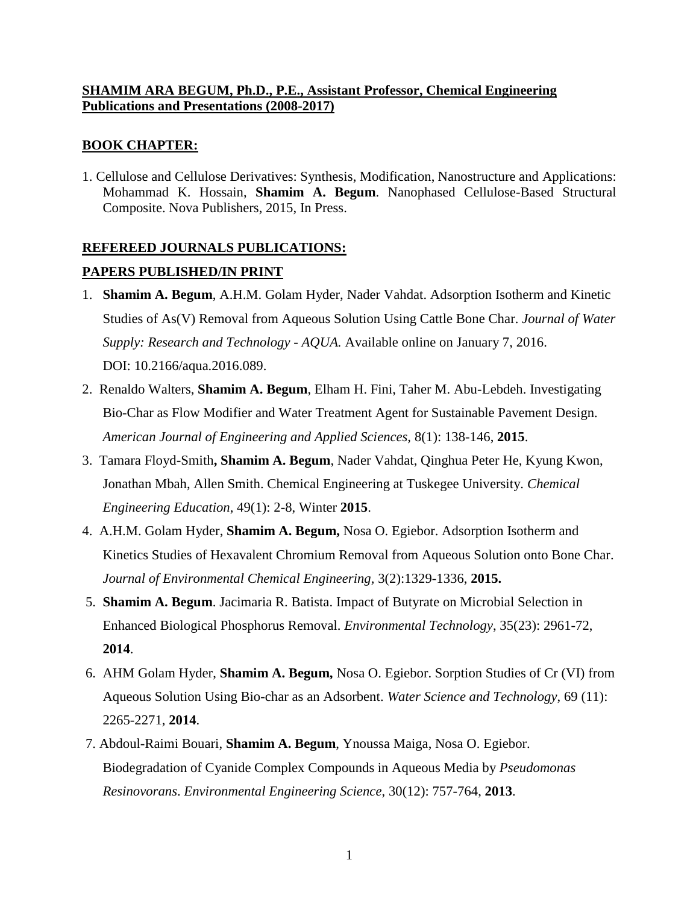## **SHAMIM ARA BEGUM, Ph.D., P.E., Assistant Professor, Chemical Engineering Publications and Presentations (2008-2017)**

# **BOOK CHAPTER:**

1. Cellulose and Cellulose Derivatives: Synthesis, Modification, Nanostructure and Applications: Mohammad K. Hossain, **Shamim A. Begum**. Nanophased Cellulose-Based Structural Composite. Nova Publishers, 2015, In Press.

# **REFEREED JOURNALS PUBLICATIONS: PAPERS PUBLISHED/IN PRINT**

- 1. **Shamim A. Begum**, A.H.M. Golam Hyder, Nader Vahdat. Adsorption Isotherm and Kinetic Studies of As(V) Removal from Aqueous Solution Using Cattle Bone Char. *Journal of Water Supply: Research and Technology - AQUA.* Available online on January 7, 2016. DOI: 10.2166/aqua.2016.089.
- 2. Renaldo Walters, **Shamim A. Begum**, Elham H. Fini, Taher M. Abu-Lebdeh. Investigating Bio-Char as Flow Modifier and Water Treatment Agent for Sustainable Pavement Design. *American Journal of Engineering and Applied Sciences,* 8(1): 138-146, **2015**.
- 3. Tamara Floyd-Smith**, Shamim A. Begum**, Nader Vahdat, Qinghua Peter He, Kyung Kwon, Jonathan Mbah, Allen Smith. Chemical Engineering at Tuskegee University. *Chemical Engineering Education*, 49(1): 2-8, Winter **2015**.
- 4. A.H.M. Golam Hyder, **Shamim A. Begum,** Nosa O. Egiebor. Adsorption Isotherm and Kinetics Studies of Hexavalent Chromium Removal from Aqueous Solution onto Bone Char. *Journal of Environmental Chemical Engineering,* 3(2):1329-1336, **2015.**
- 5. **Shamim A. Begum**. Jacimaria R. Batista. Impact of Butyrate on Microbial Selection in Enhanced Biological Phosphorus Removal. *Environmental Technology*, 35(23): 2961-72, **2014**.
- 6. AHM Golam Hyder, **Shamim A. Begum,** Nosa O. Egiebor. Sorption Studies of Cr (VI) from Aqueous Solution Using Bio-char as an Adsorbent. *Water Science and Technology*, 69 (11): 2265-2271, **2014**.
- 7. Abdoul-Raimi Bouari, **Shamim A. Begum**, Ynoussa Maiga, Nosa O. Egiebor. Biodegradation of Cyanide Complex Compounds in Aqueous Media by *Pseudomonas Resinovorans*. *Environmental Engineering Science*, 30(12): 757-764, **2013**.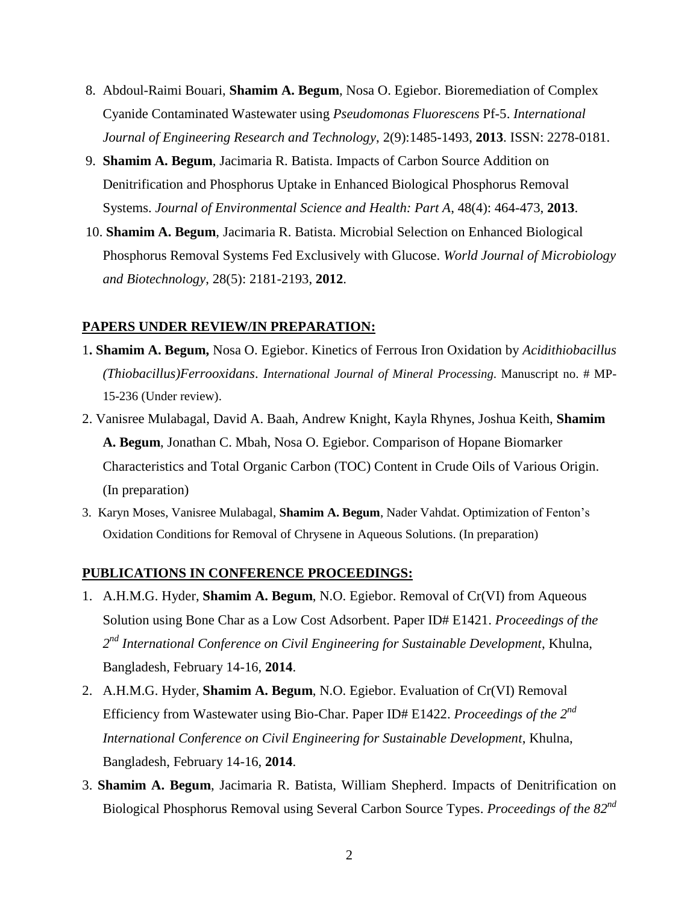- 8. Abdoul-Raimi Bouari, **Shamim A. Begum**, Nosa O. Egiebor. Bioremediation of Complex Cyanide Contaminated Wastewater using *Pseudomonas Fluorescens* Pf-5. *International Journal of Engineering Research and Technology*, 2(9):1485-1493, **2013**. ISSN: 2278-0181.
- 9. **Shamim A. Begum**, Jacimaria R. Batista. Impacts of Carbon Source Addition on Denitrification and Phosphorus Uptake in Enhanced Biological Phosphorus Removal Systems. *Journal of Environmental Science and Health: Part A*, 48(4): 464-473, **2013**.
- 10. **Shamim A. Begum**, Jacimaria R. Batista. Microbial Selection on Enhanced Biological Phosphorus Removal Systems Fed Exclusively with Glucose. *World Journal of Microbiology and Biotechnology*, 28(5): 2181-2193, **2012**.

### **PAPERS UNDER REVIEW/IN PREPARATION:**

- 1**. Shamim A. Begum,** Nosa O. Egiebor. Kinetics of Ferrous Iron Oxidation by *Acidithiobacillus (Thiobacillus)Ferrooxidans*. *International Journal of Mineral Processing*. Manuscript no. # MP-15-236 (Under review).
- 2. Vanisree Mulabagal, David A. Baah, Andrew Knight, Kayla Rhynes, Joshua Keith, **Shamim A. Begum**, Jonathan C. Mbah, Nosa O. Egiebor. Comparison of Hopane Biomarker Characteristics and Total Organic Carbon (TOC) Content in Crude Oils of Various Origin. (In preparation)
- 3. Karyn Moses, Vanisree Mulabagal, **Shamim A. Begum**, Nader Vahdat. Optimization of Fenton's Oxidation Conditions for Removal of Chrysene in Aqueous Solutions. (In preparation)

#### **PUBLICATIONS IN CONFERENCE PROCEEDINGS:**

- 1. A.H.M.G. Hyder, **Shamim A. Begum**, N.O. Egiebor. Removal of Cr(VI) from Aqueous Solution using Bone Char as a Low Cost Adsorbent. Paper ID# E1421. *Proceedings of the 2 nd International Conference on Civil Engineering for Sustainable Development*, Khulna, Bangladesh, February 14-16, **2014**.
- 2. A.H.M.G. Hyder, **Shamim A. Begum**, N.O. Egiebor. Evaluation of Cr(VI) Removal Efficiency from Wastewater using Bio-Char. Paper ID# E1422. *Proceedings of the 2nd International Conference on Civil Engineering for Sustainable Development*, Khulna, Bangladesh, February 14-16, **2014**.
- 3. **Shamim A. Begum**, Jacimaria R. Batista, William Shepherd. Impacts of Denitrification on Biological Phosphorus Removal using Several Carbon Source Types. *Proceedings of the 82nd*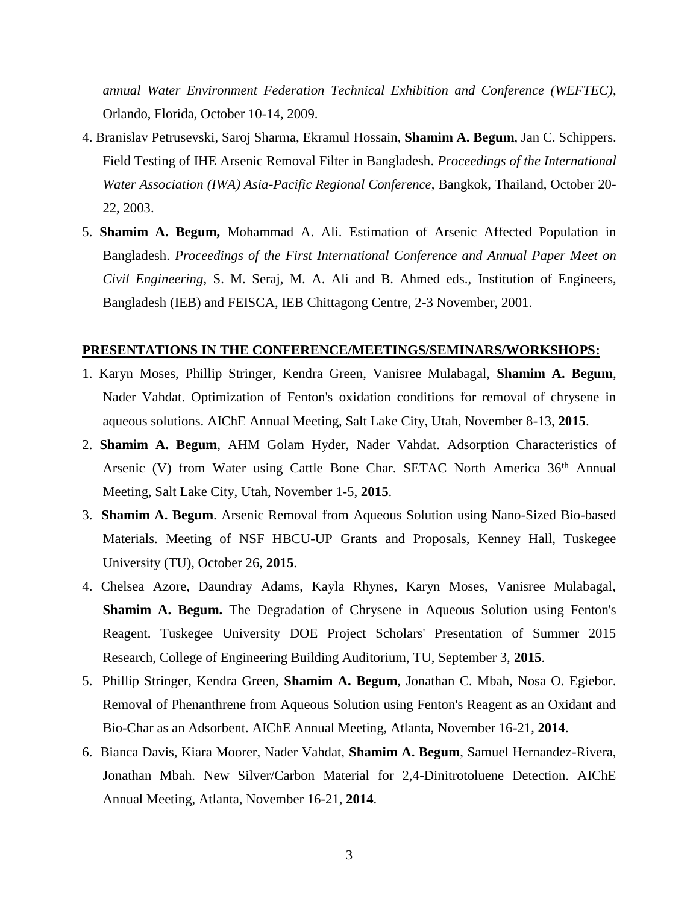*annual Water Environment Federation Technical Exhibition and Conference (WEFTEC)*, Orlando, Florida, October 10-14, 2009.

- 4. Branislav Petrusevski, Saroj Sharma, Ekramul Hossain, **Shamim A. Begum**, Jan C. Schippers. Field Testing of IHE Arsenic Removal Filter in Bangladesh. *Proceedings of the International Water Association (IWA) Asia-Pacific Regional Conference*, Bangkok, Thailand, October 20- 22, 2003.
- 5. **Shamim A. Begum,** Mohammad A. Ali. Estimation of Arsenic Affected Population in Bangladesh. *Proceedings of the First International Conference and Annual Paper Meet on Civil Engineering*, S. M. Seraj, M. A. Ali and B. Ahmed eds., Institution of Engineers, Bangladesh (IEB) and FEISCA, IEB Chittagong Centre, 2-3 November, 2001.

#### **PRESENTATIONS IN THE CONFERENCE/MEETINGS/SEMINARS/WORKSHOPS:**

- 1. Karyn Moses, Phillip Stringer, Kendra Green, Vanisree Mulabagal, **Shamim A. Begum**, Nader Vahdat. Optimization of Fenton's oxidation conditions for removal of chrysene in aqueous solutions. AIChE Annual Meeting, Salt Lake City, Utah, November 8-13, **2015**.
- 2. **Shamim A. Begum**, AHM Golam Hyder, Nader Vahdat. Adsorption Characteristics of Arsenic (V) from Water using Cattle Bone Char. SETAC North America 36<sup>th</sup> Annual Meeting, Salt Lake City, Utah, November 1-5, **2015**.
- 3. **Shamim A. Begum**. Arsenic Removal from Aqueous Solution using Nano-Sized Bio-based Materials. Meeting of NSF HBCU-UP Grants and Proposals, Kenney Hall, Tuskegee University (TU), October 26, **2015**.
- 4. Chelsea Azore, Daundray Adams, Kayla Rhynes, Karyn Moses, Vanisree Mulabagal, **Shamim A. Begum.** The Degradation of Chrysene in Aqueous Solution using Fenton's Reagent. Tuskegee University DOE Project Scholars' Presentation of Summer 2015 Research, College of Engineering Building Auditorium, TU, September 3, **2015**.
- 5. Phillip Stringer, Kendra Green, **Shamim A. Begum**, Jonathan C. Mbah, Nosa O. Egiebor. Removal of Phenanthrene from Aqueous Solution using Fenton's Reagent as an Oxidant and Bio-Char as an Adsorbent. AIChE Annual Meeting, Atlanta, November 16-21, **2014**.
- 6. Bianca Davis, Kiara Moorer, Nader Vahdat, **Shamim A. Begum**, Samuel Hernandez-Rivera, Jonathan Mbah. New Silver/Carbon Material for 2,4-Dinitrotoluene Detection. AIChE Annual Meeting, Atlanta, November 16-21, **2014**.